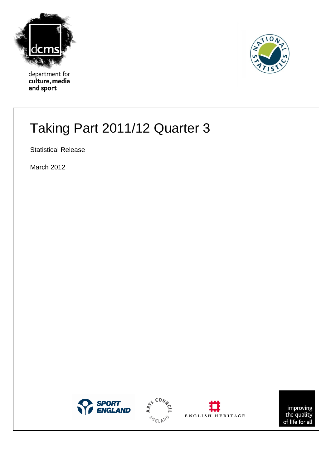

department for culture, media and sport



# Taking Part 2011/12 Quarter 3

Statistical Release

March 2012







improving<br>the quality<br>of life for all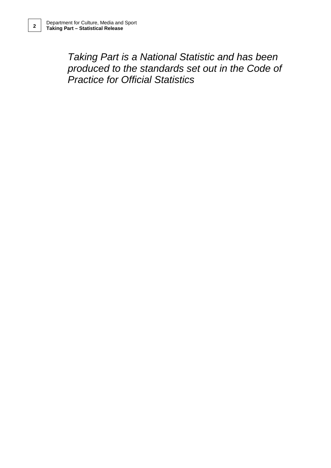*Taking Part is a National Statistic and has been produced to the standards set out in the Code of Practice for Official Statistics*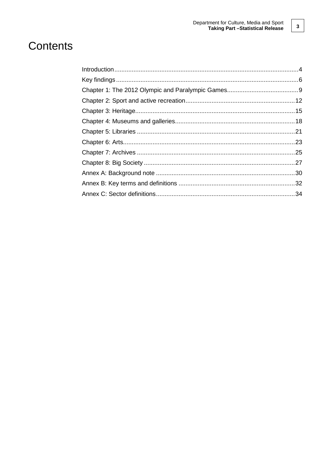# Contents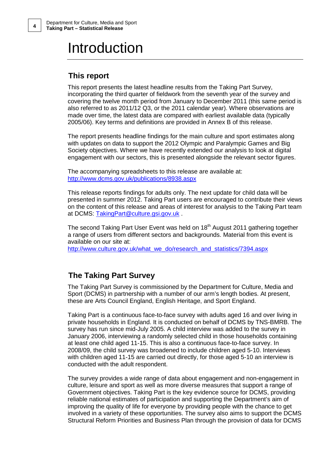# Introduction

## **This report**

This report presents the latest headline results from the Taking Part Survey, incorporating the third quarter of fieldwork from the seventh year of the survey and covering the twelve month period from January to December 2011 (this same period is also referred to as 2011/12 Q3, or the 2011 calendar year). Where observations are made over time, the latest data are compared with earliest available data (typically 2005/06). Key terms and definitions are provided in Annex B of this release.

The report presents headline findings for the main culture and sport estimates along with updates on data to support the 2012 Olympic and Paralympic Games and Big Society objectives. Where we have recently extended our analysis to look at digital engagement with our sectors, this is presented alongside the relevant sector figures.

The accompanying spreadsheets to this release are available at: [http://www.dcms.gov.uk/publications/8938.aspx](http://www.dcms.gov.uk/publications/8734.aspx)

This release reports findings for adults only. The next update for child data will be presented in summer 2012. Taking Part users are encouraged to contribute their views on the content of this release and areas of interest for analysis to the Taking Part team at DCMS: [TakingPart@culture.gsi.gov.uk](mailto:TakingPart@culture.gsi.gov.uk) .

The second Taking Part User Event was held on 18<sup>th</sup> August 2011 gathering together a range of users from different sectors and backgrounds. Material from this event is available on our site at:

[http://www.culture.gov.uk/what\\_we\\_do/research\\_and\\_statistics/7394.aspx](http://www.culture.gov.uk/what_we_do/research_and_statistics/7394.aspx)

## **The Taking Part Survey**

The Taking Part Survey is commissioned by the Department for Culture, Media and Sport (DCMS) in partnership with a number of our arm's length bodies. At present, these are Arts Council England, English Heritage, and Sport England.

Taking Part is a continuous face-to-face survey with adults aged 16 and over living in private households in England. It is conducted on behalf of DCMS by TNS-BMRB. The survey has run since mid-July 2005. A child interview was added to the survey in January 2006, interviewing a randomly selected child in those households containing at least one child aged 11-15. This is also a continuous face-to-face survey. In 2008/09, the child survey was broadened to include children aged 5-10. Interviews with children aged 11-15 are carried out directly, for those aged 5-10 an interview is conducted with the adult respondent.

The survey provides a wide range of data about engagement and non-engagement in culture, leisure and sport as well as more diverse measures that support a range of Government objectives. Taking Part is the key evidence source for DCMS, providing reliable national estimates of participation and supporting the Department's aim of improving the quality of life for everyone by providing people with the chance to get involved in a variety of these opportunities. The survey also aims to support the DCMS Structural Reform Priorities and Business Plan through the provision of data for DCMS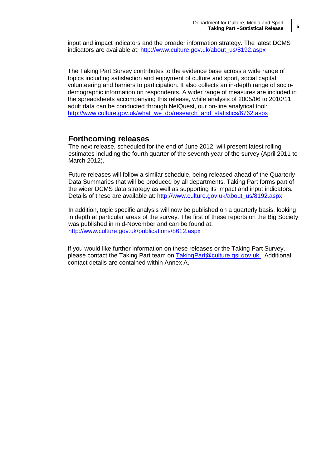input and impact indicators and the broader information strategy. The latest DCMS indicators are available at: [http://www.culture.gov.uk/about\\_us/8192.aspx](http://www.culture.gov.uk/about_us/8192.aspx)

The Taking Part Survey contributes to the evidence base across a wide range of topics including satisfaction and enjoyment of culture and sport, social capital, volunteering and barriers to participation. It also collects an in-depth range of sociodemographic information on respondents. A wider range of measures are included in the spreadsheets accompanying this release, while analysis of 2005/06 to 2010/11 adult data can be conducted through NetQuest, our on-line analytical tool: [http://www.culture.gov.uk/what\\_we\\_do/research\\_and\\_statistics/6762.aspx](http://www.culture.gov.uk/what_we_do/research_and_statistics/6762.aspx)

### **Forthcoming releases**

The next release, scheduled for the end of June 2012, will present latest rolling estimates including the fourth quarter of the seventh year of the survey (April 2011 to March 2012).

Future releases will follow a similar schedule, being released ahead of the Quarterly Data Summaries that will be produced by all departments. Taking Part forms part of the wider DCMS data strategy as well as supporting its impact and input indicators. Details of these are available at: [http://www.culture.gov.uk/about\\_us/8192.aspx](http://www.culture.gov.uk/about_us/8192.aspx)

In addition, topic specific analysis will now be published on a quarterly basis, looking in depth at particular areas of the survey. The first of these reports on the Big Society was published in mid-November and can be found at: <http://www.culture.gov.uk/publications/8612.aspx>

If you would like further information on these releases or the Taking Part Survey, please contact the Taking Part team on [TakingPart@culture.gsi.gov.uk.](mailto:TakingPart@culture.gsi.gov.uk) Additional contact details are contained within Annex A.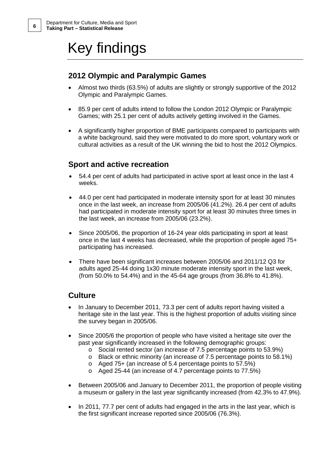# Key findings

## **2012 Olympic and Paralympic Games**

- Almost two thirds (63.5%) of adults are slightly or strongly supportive of the 2012 Olympic and Paralympic Games.
- 85.9 per cent of adults intend to follow the London 2012 Olympic or Paralympic Games; with 25.1 per cent of adults actively getting involved in the Games.
- A significantly higher proportion of BME participants compared to participants with a white background, said they were motivated to do more sport, voluntary work or cultural activities as a result of the UK winning the bid to host the 2012 Olympics.

## **Sport and active recreation**

- 54.4 per cent of adults had participated in active sport at least once in the last 4 weeks.
- 44.0 per cent had participated in moderate intensity sport for at least 30 minutes once in the last week, an increase from 2005/06 (41.2%). 26.4 per cent of adults had participated in moderate intensity sport for at least 30 minutes three times in the last week, an increase from 2005/06 (23.2%).
- Since 2005/06, the proportion of 16-24 year olds participating in sport at least once in the last 4 weeks has decreased, while the proportion of people aged 75+ participating has increased.
- There have been significant increases between 2005/06 and 2011/12 Q3 for adults aged 25-44 doing 1x30 minute moderate intensity sport in the last week, (from 50.0% to 54.4%) and in the 45-64 age groups (from 36.8% to 41.8%).

## **Culture**

- In January to December 2011, 73.3 per cent of adults report having visited a heritage site in the last year. This is the highest proportion of adults visiting since the survey began in 2005/06.
- Since 2005/6 the proportion of people who have visited a heritage site over the past year significantly increased in the following demographic groups:
	- o Social rented sector (an increase of 7.5 percentage points to 53.9%)
	- $\circ$  Black or ethnic minority (an increase of 7.5 percentage points to 58.1%)
	- o Aged 75+ (an increase of 5.4 percentage points to 57.5%)
	- o Aged 25-44 (an increase of 4.7 percentage points to 77.5%)
- Between 2005/06 and January to December 2011, the proportion of people visiting a museum or gallery in the last year significantly increased (from 42.3% to 47.9%).
- In 2011, 77.7 per cent of adults had engaged in the arts in the last year, which is the first significant increase reported since 2005/06 (76.3%).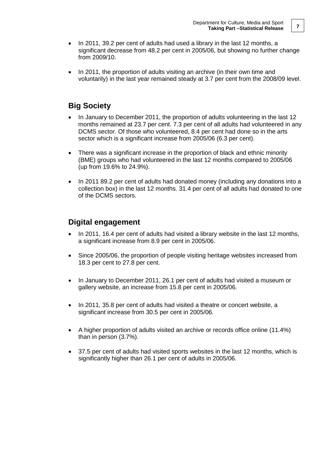- In 2011, 39.2 per cent of adults had used a library in the last 12 months, a significant decrease from 48.2 per cent in 2005/06, but showing no further change from 2009/10.
- In 2011, the proportion of adults visiting an archive (in their own time and voluntarily) in the last year remained steady at 3.7 per cent from the 2008/09 level.

## **Big Society**

- In January to December 2011, the proportion of adults volunteering in the last 12 months remained at 23.7 per cent. 7.3 per cent of all adults had volunteered in any DCMS sector. Of those who volunteered, 8.4 per cent had done so in the arts sector which is a significant increase from 2005/06 (6.3 per cent).
- There was a significant increase in the proportion of black and ethnic minority (BME) groups who had volunteered in the last 12 months compared to 2005/06 (up from 19.6% to 24.9%).
- In 2011 89.2 per cent of adults had donated money (including any donations into a collection box) in the last 12 months. 31.4 per cent of all adults had donated to one of the DCMS sectors.

## **Digital engagement**

- In 2011, 16.4 per cent of adults had visited a library website in the last 12 months, a significant increase from 8.9 per cent in 2005/06.
- Since 2005/06, the proportion of people visiting heritage websites increased from 18.3 per cent to 27.8 per cent.
- In January to December 2011, 26.1 per cent of adults had visited a museum or gallery website, an increase from 15.8 per cent in 2005/06.
- In 2011, 35.8 per cent of adults had visited a theatre or concert website, a significant increase from 30.5 per cent in 2005/06.
- A higher proportion of adults visited an archive or records office online (11.4%) than in person (3.7%).
- 37.5 per cent of adults had visited sports websites in the last 12 months, which is significantly higher than 26.1 per cent of adults in 2005/06.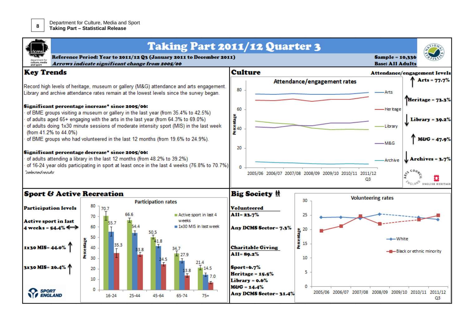

|                                                                                                                                                                                                                                                                                                                                              |                                                                           | Arrows indicate significant change from 2005/06 | <b>Taking Part 2011/12 Quarter 3</b><br>Reference Period: Year to 2011/12 Q3 (January 2011 to December 2011) |                       |                                                      |                                                               |                                                         | <b>Sample = 10,336</b><br><b>Base: All Adults</b> |                              |
|----------------------------------------------------------------------------------------------------------------------------------------------------------------------------------------------------------------------------------------------------------------------------------------------------------------------------------------------|---------------------------------------------------------------------------|-------------------------------------------------|--------------------------------------------------------------------------------------------------------------|-----------------------|------------------------------------------------------|---------------------------------------------------------------|---------------------------------------------------------|---------------------------------------------------|------------------------------|
| <b>Key Trends</b>                                                                                                                                                                                                                                                                                                                            |                                                                           |                                                 |                                                                                                              | <b>Culture</b>        |                                                      |                                                               |                                                         |                                                   | Attendance/engagement levels |
| Record high levels of heritage, museum or gallery (M&G) attendance and arts engagement.<br>Library and archive attendance rates remain at the lowest levels since the survey began.                                                                                                                                                          |                                                                           |                                                 | 80                                                                                                           |                       |                                                      | Attendance/engagement rates                                   | Arts                                                    | Arts = $77.7%$<br>Heritage = 73.3%                |                              |
| Significant percentage increase* since 2005/06:<br>of BME groups visiting a museum or gallery in the last year (from 35.4% to 42.5%)<br>of adults aged 65+ engaging with the arts in the last year (from 64.3% to 69.0%)<br>of adults doing 1x30 minute sessions of moderate intensity sport (MIS) in the last week<br>(from 41.2% to 44.0%) |                                                                           | 60<br>itentage<br>40                            |                                                                                                              |                       |                                                      | ·Heritage<br>-Library                                         | $Library = 39.2%$                                       |                                                   |                              |
| of BME groups who had volunteered in the last 12 months (from 19.6% to 24.9%).<br>Significant percentage decrease* since 2005/06:                                                                                                                                                                                                            |                                                                           |                                                 | 20                                                                                                           |                       |                                                      |                                                               | -M&G                                                    | $M & G = 47.9$                                    |                              |
|                                                                                                                                                                                                                                                                                                                                              | of adults attending a library in the last 12 months (from 48.2% to 39.2%) |                                                 |                                                                                                              |                       |                                                      |                                                               |                                                         | -Archive                                          | Archives = 3.7%              |
| of 16-24 year olds participating in sport at least once in the last 4 weeks (76.8% to 70.7%)<br>selected results                                                                                                                                                                                                                             |                                                                           |                                                 |                                                                                                              |                       |                                                      | 2005/06 2006/07 2007/08 2008/09 2009/10 2010/11 2011/12<br>O3 |                                                         | <b>WGLAND</b><br><b>ENGLISH HERITAGE</b>          |                              |
| <b>Sport &amp; Active Recreation</b>                                                                                                                                                                                                                                                                                                         |                                                                           |                                                 |                                                                                                              | <b>Big Society 林</b>  |                                                      |                                                               |                                                         |                                                   |                              |
| <b>Participation levels</b>                                                                                                                                                                                                                                                                                                                  | 80<br>70.7<br>70                                                          | <b>Participation rates</b><br>66.6              | Active sport in last 4                                                                                       | $AI1 = 23.7%$         | <b>Volunteered</b>                                   | 30<br>25                                                      |                                                         | <b>Volunteering rates</b>                         |                              |
| Active sport in last<br>4 weeks = $54.4\%$                                                                                                                                                                                                                                                                                                   | 55.<br>60                                                                 | 50.5                                            | weeks<br>$\blacksquare$ 1x30 MIS in last week                                                                |                       | Any DCMS Sector= 7.3%                                |                                                               |                                                         |                                                   |                              |
| 1x30 MIS=44.09                                                                                                                                                                                                                                                                                                                               | 50<br>Percentage<br>35.3<br>40<br>30                                      | 33.8                                            | 34.7<br>£ 27.9                                                                                               | $AI1 = 89.2%$         | <b>Charitable Giving</b>                             | 음을 20<br><u>2</u><br>이 15<br>10                               |                                                         | — <del>4</del> —White                             |                              |
| 3x30 MIS= 26.4%                                                                                                                                                                                                                                                                                                                              | 20<br>10                                                                  |                                                 | 21.4<br>$\blacksquare$ 14.5<br>3.8<br>7.0                                                                    | $\text{Sort} = 6.7\%$ | Heritage = 15.5%<br>Library = 0.6%<br>$M$ &G = 14.4% | 5<br>0                                                        |                                                         |                                                   |                              |
| <b>SPORT</b><br><b>ENGLAND</b>                                                                                                                                                                                                                                                                                                               | 0<br>$16 - 24$                                                            | 25-44<br>45-64                                  | $65 - 74$<br>$75+$                                                                                           |                       | Any DCMS Sector= 31.4%                               |                                                               | 2005/06 2006/07 2007/08 2008/09 2009/10 2010/11 2011/12 |                                                   | Q3                           |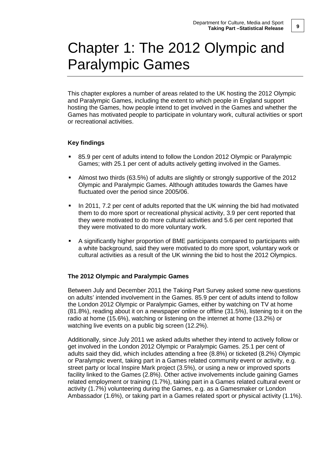# Chapter 1: The 2012 Olympic and Paralympic Games

This chapter explores a number of areas related to the UK hosting the 2012 Olympic and Paralympic Games, including the extent to which people in England support hosting the Games, how people intend to get involved in the Games and whether the Games has motivated people to participate in voluntary work, cultural activities or sport or recreational activities.

### **Key findings**

- 85.9 per cent of adults intend to follow the London 2012 Olympic or Paralympic Games; with 25.1 per cent of adults actively getting involved in the Games.
- Almost two thirds (63.5%) of adults are slightly or strongly supportive of the 2012 Olympic and Paralympic Games. Although attitudes towards the Games have fluctuated over the period since 2005/06.
- In 2011, 7.2 per cent of adults reported that the UK winning the bid had motivated them to do more sport or recreational physical activity, 3.9 per cent reported that they were motivated to do more cultural activities and 5.6 per cent reported that they were motivated to do more voluntary work.
- A significantly higher proportion of BME participants compared to participants with a white background, said they were motivated to do more sport, voluntary work or cultural activities as a result of the UK winning the bid to host the 2012 Olympics.

### **The 2012 Olympic and Paralympic Games**

Between July and December 2011 the Taking Part Survey asked some new questions on adults' intended involvement in the Games. 85.9 per cent of adults intend to follow the London 2012 Olympic or Paralympic Games, either by watching on TV at home (81.8%), reading about it on a newspaper online or offline (31.5%), listening to it on the radio at home (15.6%), watching or listening on the internet at home (13.2%) or watching live events on a public big screen (12.2%).

Additionally, since July 2011 we asked adults whether they intend to actively follow or get involved in the London 2012 Olympic or Paralympic Games. 25.1 per cent of adults said they did, which includes attending a free (8.8%) or ticketed (8.2%) Olympic or Paralympic event, taking part in a Games related community event or activity, e.g. street party or local Inspire Mark project (3.5%), or using a new or improved sports facility linked to the Games (2.8%). Other active involvements include gaining Games related employment or training (1.7%), taking part in a Games related cultural event or activity (1.7%) volunteering during the Games, e.g. as a Gamesmaker or London Ambassador (1.6%), or taking part in a Games related sport or physical activity (1.1%).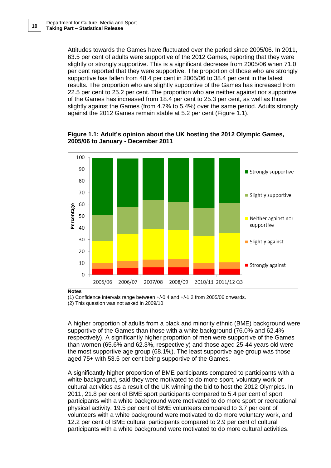Attitudes towards the Games have fluctuated over the period since 2005/06. In 2011, 63.5 per cent of adults were supportive of the 2012 Games, reporting that they were slightly or strongly supportive. This is a significant decrease from 2005/06 when 71.0 per cent reported that they were supportive. The proportion of those who are strongly supportive has fallen from 48.4 per cent in 2005/06 to 38.4 per cent in the latest results. The proportion who are slightly supportive of the Games has increased from 22.5 per cent to 25.2 per cent. The proportion who are neither against nor supportive of the Games has increased from 18.4 per cent to 25.3 per cent, as well as those slightly against the Games (from 4.7% to 5.4%) over the same period. Adults strongly against the 2012 Games remain stable at 5.2 per cent (Figure 1.1).

**Figure 1.1: Adult's opinion about the UK hosting the 2012 Olympic Games, 2005/06 to January - December 2011**



**Notes** 

(1) Confidence intervals range between +/-0.4 and +/-1.2 from 2005/06 onwards.

(2) This question was not asked in 2009/10

A higher proportion of adults from a black and minority ethnic (BME) background were supportive of the Games than those with a white background (76.0% and 62.4% respectively). A significantly higher proportion of men were supportive of the Games than women (65.6% and 62.3%, respectively) and those aged 25-44 years old were the most supportive age group (68.1%). The least supportive age group was those aged 75+ with 53.5 per cent being supportive of the Games.

A significantly higher proportion of BME participants compared to participants with a white background, said they were motivated to do more sport, voluntary work or cultural activities as a result of the UK winning the bid to host the 2012 Olympics. In 2011, 21.8 per cent of BME sport participants compared to 5.4 per cent of sport participants with a white background were motivated to do more sport or recreational physical activity. 19.5 per cent of BME volunteers compared to 3.7 per cent of volunteers with a white background were motivated to do more voluntary work, and 12.2 per cent of BME cultural participants compared to 2.9 per cent of cultural participants with a white background were motivated to do more cultural activities.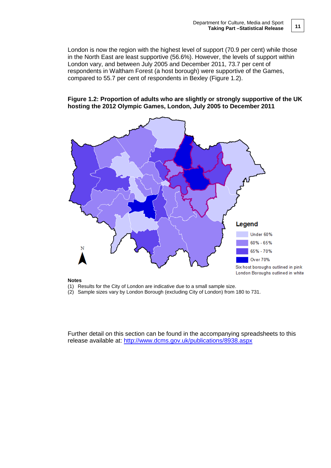London is now the region with the highest level of support (70.9 per cent) while those in the North East are least supportive (56.6%). However, the levels of support within London vary, and between July 2005 and December 2011, 73.7 per cent of respondents in Waltham Forest (a host borough) were supportive of the Games, compared to 55.7 per cent of respondents in Bexley (Figure 1.2).

#### **Figure 1.2: Proportion of adults who are slightly or strongly supportive of the UK hosting the 2012 Olympic Games, London, July 2005 to December 2011**



#### **Notes**

(1) Results for the City of London are indicative due to a small sample size.

(2) Sample sizes vary by London Borough (excluding City of London) from 180 to 731.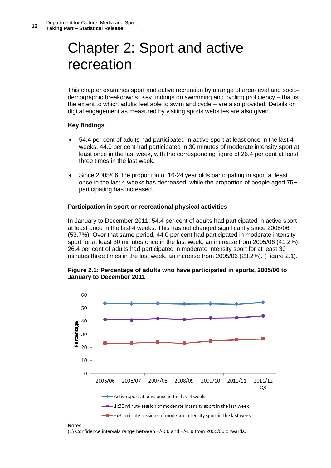# Chapter 2: Sport and active recreation

This chapter examines sport and active recreation by a range of area-level and sociodemographic breakdowns. Key findings on swimming and cycling proficiency – that is the extent to which adults feel able to swim and cycle – are also provided. Details on digital engagement as measured by visiting sports websites are also given.

#### **Key findings**

- 54.4 per cent of adults had participated in active sport at least once in the last 4 weeks. 44.0 per cent had participated in 30 minutes of moderate intensity sport at least once in the last week, with the corresponding figure of 26.4 per cent at least three times in the last week.
- Since 2005/06, the proportion of 16-24 year olds participating in sport at least once in the last 4 weeks has decreased, while the proportion of people aged 75+ participating has increased.

#### **Participation in sport or recreational physical activities**

In January to December 2011, 54.4 per cent of adults had participated in active sport at least once in the last 4 weeks. This has not changed significantly since 2005/06 (53.7%). Over that same period, 44.0 per cent had participated in moderate intensity sport for at least 30 minutes once in the last week, an increase from 2005/06 (41.2%). 26.4 per cent of adults had participated in moderate intensity sport for at least 30 minutes three times in the last week, an increase from 2005/06 (23.2%). (Figure 2.1).





(1) Confidence intervals range between +/-0.6 and +/-1.9 from 2005/06 onwards.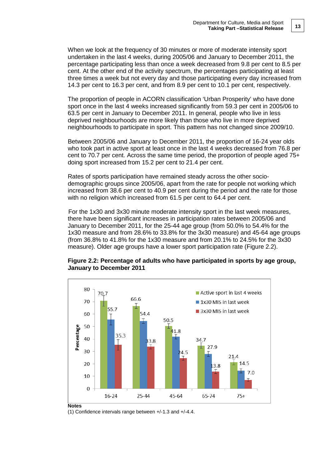When we look at the frequency of 30 minutes or more of moderate intensity sport undertaken in the last 4 weeks, during 2005/06 and January to December 2011, the percentage participating less than once a week decreased from 9.8 per cent to 8.5 per cent. At the other end of the activity spectrum, the percentages participating at least three times a week but not every day and those participating every day increased from 14.3 per cent to 16.3 per cent, and from 8.9 per cent to 10.1 per cent, respectively.

The proportion of people in ACORN classification 'Urban Prosperity' who have done sport once in the last 4 weeks increased significantly from 59.3 per cent in 2005/06 to 63.5 per cent in January to December 2011. In general, people who live in less deprived neighbourhoods are more likely than those who live in more deprived neighbourhoods to participate in sport. This pattern has not changed since 2009/10.

Between 2005/06 and January to December 2011, the proportion of 16-24 year olds who took part in active sport at least once in the last 4 weeks decreased from 76.8 per cent to 70.7 per cent. Across the same time period, the proportion of people aged 75+ doing sport increased from 15.2 per cent to 21.4 per cent.

Rates of sports participation have remained steady across the other sociodemographic groups since 2005/06, apart from the rate for people not working which increased from 38.6 per cent to 40.9 per cent during the period and the rate for those with no religion which increased from 61.5 per cent to 64.4 per cent.

For the 1x30 and 3x30 minute moderate intensity sport in the last week measures, there have been significant increases in participation rates between 2005/06 and January to December 2011, for the 25-44 age group (from 50.0% to 54.4% for the 1x30 measure and from 28.6% to 33.8% for the 3x30 measure) and 45-64 age groups (from 36.8% to 41.8% for the 1x30 measure and from 20.1% to 24.5% for the 3x30 measure). Older age groups have a lower sport participation rate (Figure 2.2).



### **Figure 2.2: Percentage of adults who have participated in sports by age group, January to December 2011**

**Notes**

(1) Confidence intervals range between +/-1.3 and +/-4.4.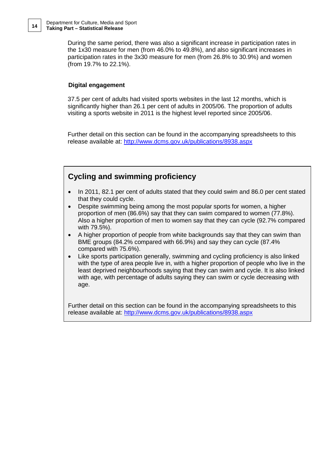During the same period, there was also a significant increase in participation rates in the 1x30 measure for men (from 46.0% to 49.8%), and also significant increases in participation rates in the 3x30 measure for men (from 26.8% to 30.9%) and women (from 19.7% to 22.1%).

### **Digital engagement**

37.5 per cent of adults had visited sports websites in the last 12 months, which is significantly higher than 26.1 per cent of adults in 2005/06. The proportion of adults visiting a sports website in 2011 is the highest level reported since 2005/06.

Further detail on this section can be found in the accompanying spreadsheets to this release available at: [http://www.dcms.gov.uk/publications/8938.aspx](http://www.dcms.gov.uk/publications/8734.aspx)

## **Cycling and swimming proficiency**

- In 2011, 82.1 per cent of adults stated that they could swim and 86.0 per cent stated that they could cycle.
- Despite swimming being among the most popular sports for women, a higher proportion of men (86.6%) say that they can swim compared to women (77.8%). Also a higher proportion of men to women say that they can cycle (92.7% compared with 79.5%).
- A higher proportion of people from white backgrounds say that they can swim than BME groups (84.2% compared with 66.9%) and say they can cycle (87.4% compared with 75.6%).
- Like sports participation generally, swimming and cycling proficiency is also linked with the type of area people live in, with a higher proportion of people who live in the least deprived neighbourhoods saying that they can swim and cycle. It is also linked with age, with percentage of adults saying they can swim or cycle decreasing with age.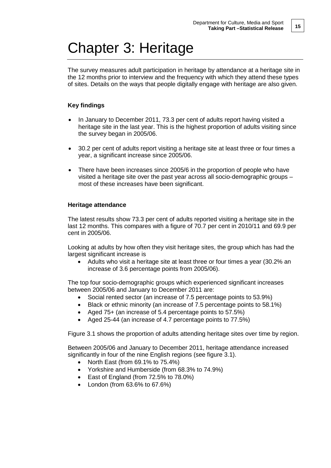# Chapter 3: Heritage

The survey measures adult participation in heritage by attendance at a heritage site in the 12 months prior to interview and the frequency with which they attend these types of sites. Details on the ways that people digitally engage with heritage are also given.

### **Key findings**

- In January to December 2011, 73.3 per cent of adults report having visited a heritage site in the last year. This is the highest proportion of adults visiting since the survey began in 2005/06.
- 30.2 per cent of adults report visiting a heritage site at least three or four times a year, a significant increase since 2005/06.
- There have been increases since 2005/6 in the proportion of people who have visited a heritage site over the past year across all socio-demographic groups – most of these increases have been significant.

### **Heritage attendance**

The latest results show 73.3 per cent of adults reported visiting a heritage site in the last 12 months. This compares with a figure of 70.7 per cent in 2010/11 and 69.9 per cent in 2005/06.

Looking at adults by how often they visit heritage sites, the group which has had the largest significant increase is

• Adults who visit a heritage site at least three or four times a year (30.2% an increase of 3.6 percentage points from 2005/06).

The top four socio-demographic groups which experienced significant increases between 2005/06 and January to December 2011 are:

- Social rented sector (an increase of 7.5 percentage points to 53.9%)
- Black or ethnic minority (an increase of 7.5 percentage points to 58.1%)
- Aged 75+ (an increase of 5.4 percentage points to 57.5%)
- Aged 25-44 (an increase of 4.7 percentage points to 77.5%)

Figure 3.1 shows the proportion of adults attending heritage sites over time by region.

Between 2005/06 and January to December 2011, heritage attendance increased significantly in four of the nine English regions (see figure 3.1).

- North East (from 69.1% to 75.4%)
- Yorkshire and Humberside (from 68.3% to 74.9%)
- East of England (from 72.5% to 78.0%)
- London (from 63.6% to 67.6%)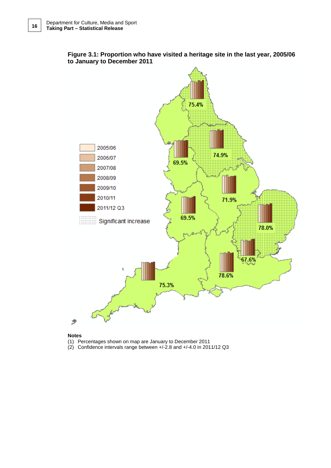

### **Figure 3.1: Proportion who have visited a heritage site in the last year, 2005/06 to January to December 2011**

#### **Notes**

- (1) Percentages shown on map are January to December 2011
- (2) Confidence intervals range between +/-2.8 and +/-4.0 in 2011/12 Q3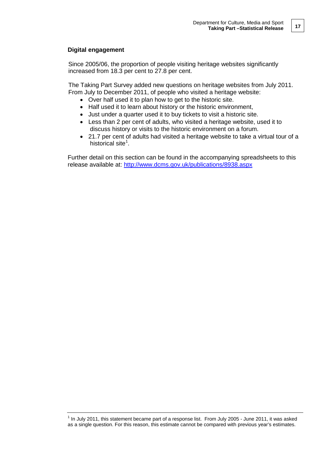### **Digital engagement**

Since 2005/06, the proportion of people visiting heritage websites significantly increased from 18.3 per cent to 27.8 per cent.

The Taking Part Survey added new questions on heritage websites from July 2011. From July to December 2011, of people who visited a heritage website:

- Over half used it to plan how to get to the historic site.
- Half used it to learn about history or the historic environment,
- Just under a quarter used it to buy tickets to visit a historic site.
- Less than 2 per cent of adults, who visited a heritage website, used it to discuss history or visits to the historic environment on a forum.
- 21.7 per cent of adults had visited a heritage website to take a virtual tour of a historical site<sup>[1](#page-16-0)</sup>.

<span id="page-16-0"></span> $1$  In July 2011, this statement became part of a response list. From July 2005 - June 2011, it was asked as a single question. For this reason, this estimate cannot be compared with previous year's estimates.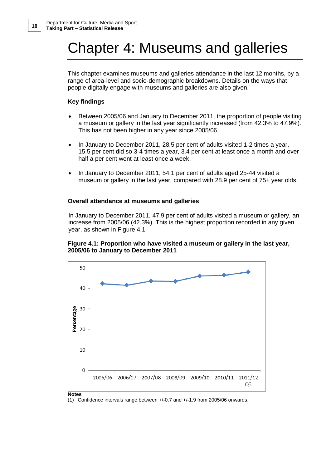# Chapter 4: Museums and galleries

This chapter examines museums and galleries attendance in the last 12 months, by a range of area-level and socio-demographic breakdowns. Details on the ways that people digitally engage with museums and galleries are also given.

### **Key findings**

- Between 2005/06 and January to December 2011, the proportion of people visiting a museum or gallery in the last year significantly increased (from 42.3% to 47.9%). This has not been higher in any year since 2005/06.
- In January to December 2011, 28.5 per cent of adults visited 1-2 times a year, 15.5 per cent did so 3-4 times a year, 3.4 per cent at least once a month and over half a per cent went at least once a week.
- In January to December 2011, 54.1 per cent of adults aged 25-44 visited a museum or gallery in the last year, compared with 28.9 per cent of 75+ year olds.

### **Overall attendance at museums and galleries**

In January to December 2011, 47.9 per cent of adults visited a museum or gallery, an increase from 2005/06 (42.3%). This is the highest proportion recorded in any given year, as shown in Figure 4.1

### **Figure 4.1: Proportion who have visited a museum or gallery in the last year, 2005/06 to January to December 2011**



(1) Confidence intervals range between +/-0.7 and +/-1.9 from 2005/06 onwards.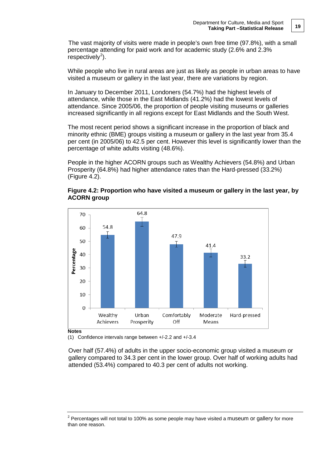The vast majority of visits were made in people's own free time (97.8%), with a small percentage attending for paid work and for academic study (2.6% and 2.3%  $respectively<sup>2</sup>).$  $respectively<sup>2</sup>).$  $respectively<sup>2</sup>).$ 

While people who live in rural areas are just as likely as people in urban areas to have visited a museum or gallery in the last year, there are variations by region.

In January to December 2011, Londoners (54.7%) had the highest levels of attendance, while those in the East Midlands (41.2%) had the lowest levels of attendance. Since 2005/06, the proportion of people visiting museums or galleries increased significantly in all regions except for East Midlands and the South West.

The most recent period shows a significant increase in the proportion of black and minority ethnic (BME) groups visiting a museum or gallery in the last year from 35.4 per cent (in 2005/06) to 42.5 per cent. However this level is significantly lower than the percentage of white adults visiting (48.6%).

People in the higher ACORN groups such as Wealthy Achievers (54.8%) and Urban Prosperity (64.8%) had higher attendance rates than the Hard-pressed (33.2%) (Figure 4.2).





#### (1) Confidence intervals range between +/-2.2 and +/-3.4

Over half (57.4%) of adults in the upper socio-economic group visited a museum or gallery compared to 34.3 per cent in the lower group. Over half of working adults had attended (53.4%) compared to 40.3 per cent of adults not working.

<span id="page-18-0"></span> $2$  Percentages will not total to 100% as some people may have visited a museum or gallery for more than one reason.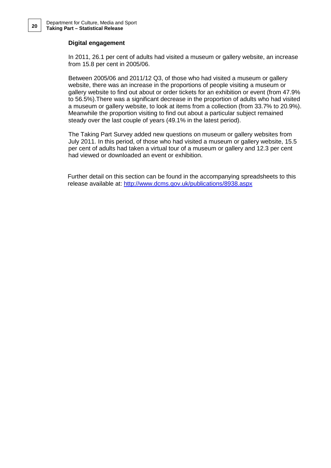#### **Digital engagement**

In 2011, 26.1 per cent of adults had visited a museum or gallery website, an increase from 15.8 per cent in 2005/06.

Between 2005/06 and 2011/12 Q3, of those who had visited a museum or gallery website, there was an increase in the proportions of people visiting a museum or gallery website to find out about or order tickets for an exhibition or event (from 47.9% to 56.5%).There was a significant decrease in the proportion of adults who had visited a museum or gallery website, to look at items from a collection (from 33.7% to 20.9%). Meanwhile the proportion visiting to find out about a particular subject remained steady over the last couple of years (49.1% in the latest period).

The Taking Part Survey added new questions on museum or gallery websites from July 2011. In this period, of those who had visited a museum or gallery website, 15.5 per cent of adults had taken a virtual tour of a museum or gallery and 12.3 per cent had viewed or downloaded an event or exhibition.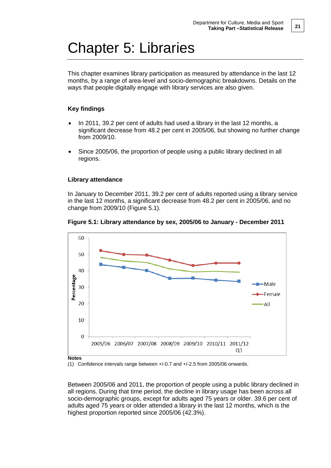# Chapter 5: Libraries

This chapter examines library participation as measured by attendance in the last 12 months, by a range of area-level and socio-demographic breakdowns. Details on the ways that people digitally engage with library services are also given.

### **Key findings**

- In 2011, 39.2 per cent of adults had used a library in the last 12 months, a significant decrease from 48.2 per cent in 2005/06, but showing no further change from 2009/10.
- Since 2005/06, the proportion of people using a public library declined in all regions.

### **Library attendance**

In January to December 2011, 39.2 per cent of adults reported using a library service in the last 12 months, a significant decrease from 48.2 per cent in 2005/06, and no change from 2009/10 (Figure 5.1).





#### (1) Confidence intervals range between +/-0.7 and +/-2.5 from 2005/06 onwards.

Between 2005/06 and 2011, the proportion of people using a public library declined in all regions. During that time period, the decline in library usage has been across all socio-demographic groups, except for adults aged 75 years or older. 39.6 per cent of adults aged 75 years or older attended a library in the last 12 months, which is the highest proportion reported since 2005/06 (42.3%).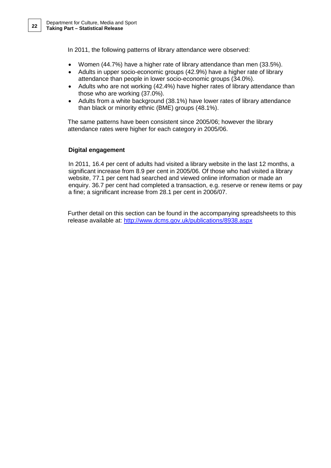In 2011, the following patterns of library attendance were observed:

- Women (44.7%) have a higher rate of library attendance than men (33.5%).
- Adults in upper socio-economic groups (42.9%) have a higher rate of library attendance than people in lower socio-economic groups (34.0%).
- Adults who are not working (42.4%) have higher rates of library attendance than those who are working (37.0%).
- Adults from a white background (38.1%) have lower rates of library attendance than black or minority ethnic (BME) groups (48.1%).

The same patterns have been consistent since 2005/06; however the library attendance rates were higher for each category in 2005/06.

### **Digital engagement**

In 2011, 16.4 per cent of adults had visited a library website in the last 12 months, a significant increase from 8.9 per cent in 2005/06. Of those who had visited a library website, 77.1 per cent had searched and viewed online information or made an enquiry. 36.7 per cent had completed a transaction, e.g. reserve or renew items or pay a fine; a significant increase from 28.1 per cent in 2006/07.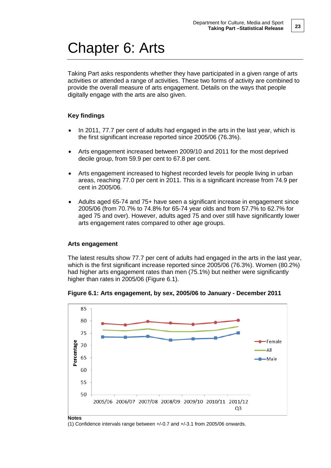# Chapter 6: Arts

Taking Part asks respondents whether they have participated in a given range of arts activities or attended a range of activities. These two forms of activity are combined to provide the overall measure of arts engagement. Details on the ways that people digitally engage with the arts are also given.

### **Key findings**

- In 2011, 77.7 per cent of adults had engaged in the arts in the last year, which is the first significant increase reported since 2005/06 (76.3%).
- Arts engagement increased between 2009/10 and 2011 for the most deprived decile group, from 59.9 per cent to 67.8 per cent.
- Arts engagement increased to highest recorded levels for people living in urban areas, reaching 77.0 per cent in 2011. This is a significant increase from 74.9 per cent in 2005/06.
- Adults aged 65-74 and 75+ have seen a significant increase in engagement since 2005/06 (from 70.7% to 74.8% for 65-74 year olds and from 57.7% to 62.7% for aged 75 and over). However, adults aged 75 and over still have significantly lower arts engagement rates compared to other age groups.

### **Arts engagement**

The latest results show 77.7 per cent of adults had engaged in the arts in the last year, which is the first significant increase reported since 2005/06 (76.3%). Women (80.2%) had higher arts engagement rates than men (75.1%) but neither were significantly higher than rates in 2005/06 (Figure 6.1).



**Figure 6.1: Arts engagement, by sex, 2005/06 to January - December 2011**

(1) Confidence intervals range between +/-0.7 and +/-3.1 from 2005/06 onwards.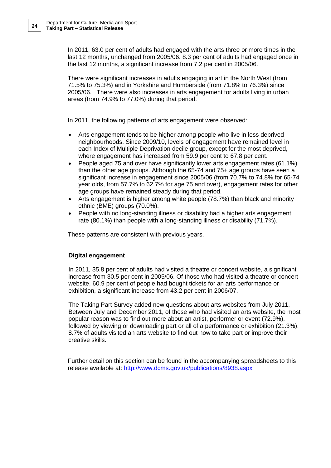In 2011, 63.0 per cent of adults had engaged with the arts three or more times in the last 12 months, unchanged from 2005/06. 8.3 per cent of adults had engaged once in the last 12 months, a significant increase from 7.2 per cent in 2005/06.

There were significant increases in adults engaging in art in the North West (from 71.5% to 75.3%) and in Yorkshire and Humberside (from 71.8% to 76.3%) since 2005/06. There were also increases in arts engagement for adults living in urban areas (from 74.9% to 77.0%) during that period.

In 2011, the following patterns of arts engagement were observed:

- Arts engagement tends to be higher among people who live in less deprived neighbourhoods. Since 2009/10, levels of engagement have remained level in each Index of Multiple Deprivation decile group, except for the most deprived, where engagement has increased from 59.9 per cent to 67.8 per cent.
- People aged 75 and over have significantly lower arts engagement rates (61.1%) than the other age groups. Although the 65-74 and 75+ age groups have seen a significant increase in engagement since 2005/06 (from 70.7% to 74.8% for 65-74 year olds, from 57.7% to 62.7% for age 75 and over), engagement rates for other age groups have remained steady during that period.
- Arts engagement is higher among white people (78.7%) than black and minority ethnic (BME) groups (70.0%).
- People with no long-standing illness or disability had a higher arts engagement rate (80.1%) than people with a long-standing illness or disability (71.7%).

These patterns are consistent with previous years.

### **Digital engagement**

In 2011, 35.8 per cent of adults had visited a theatre or concert website, a significant increase from 30.5 per cent in 2005/06. Of those who had visited a theatre or concert website, 60.9 per cent of people had bought tickets for an arts performance or exhibition, a significant increase from 43.2 per cent in 2006/07.

The Taking Part Survey added new questions about arts websites from July 2011. Between July and December 2011, of those who had visited an arts website, the most popular reason was to find out more about an artist, performer or event (72.9%), followed by viewing or downloading part or all of a performance or exhibition (21.3%). 8.7% of adults visited an arts website to find out how to take part or improve their creative skills.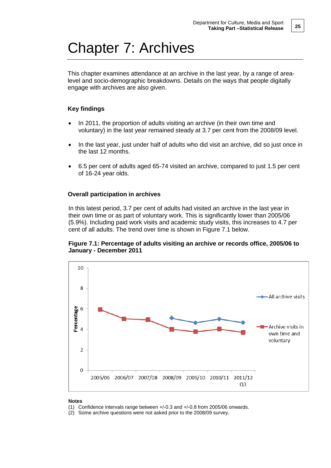# Chapter 7: Archives

This chapter examines attendance at an archive in the last year, by a range of arealevel and socio-demographic breakdowns. Details on the ways that people digitally engage with archives are also given.

### **Key findings**

- In 2011, the proportion of adults visiting an archive (in their own time and voluntary) in the last year remained steady at 3.7 per cent from the 2008/09 level.
- In the last year, just under half of adults who did visit an archive, did so just once in the last 12 months.
- 6.5 per cent of adults aged 65-74 visited an archive, compared to just 1.5 per cent of 16-24 year olds.

### **Overall participation in archives**

In this latest period, 3.7 per cent of adults had visited an archive in the last year in their own time or as part of voluntary work. This is significantly lower than 2005/06 (5.9%). Including paid work visits and academic study visits, this increases to 4.7 per cent of all adults. The trend over time is shown in Figure 7.1 below.

#### **Figure 7.1: Percentage of adults visiting an archive or records office, 2005/06 to January - December 2011**



#### **Notes**

(1) Confidence intervals range between +/-0.3 and +/-0.8 from 2005/06 onwards.

(2) Some archive questions were not asked prior to the 2008/09 survey.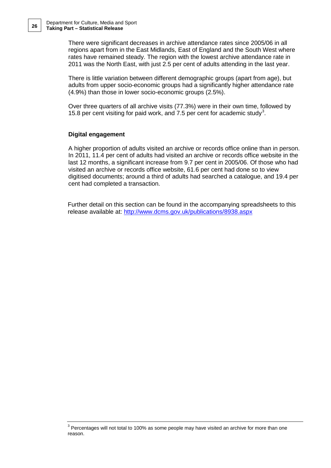There were significant decreases in archive attendance rates since 2005/06 in all regions apart from in the East Midlands, East of England and the South West where rates have remained steady. The region with the lowest archive attendance rate in 2011 was the North East, with just 2.5 per cent of adults attending in the last year.

There is little variation between different demographic groups (apart from age), but adults from upper socio-economic groups had a significantly higher attendance rate (4.9%) than those in lower socio-economic groups (2.5%).

Over three quarters of all archive visits (77.3%) were in their own time, followed by 15.8 per cent visiting for paid work, and 7.5 per cent for academic study<sup>[3](#page-25-0)</sup>.

### **Digital engagement**

A higher proportion of adults visited an archive or records office online than in person. In 2011, 11.4 per cent of adults had visited an archive or records office website in the last 12 months, a significant increase from 9.7 per cent in 2005/06. Of those who had visited an archive or records office website, 61.6 per cent had done so to view digitised documents; around a third of adults had searched a catalogue, and 19.4 per cent had completed a transaction.

<span id="page-25-0"></span><sup>&</sup>lt;sup>3</sup> Percentages will not total to 100% as some people may have visited an archive for more than one reason.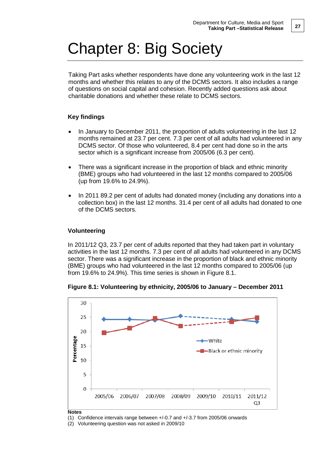# Chapter 8: Big Society

Taking Part asks whether respondents have done any volunteering work in the last 12 months and whether this relates to any of the DCMS sectors. It also includes a range of questions on social capital and cohesion. Recently added questions ask about charitable donations and whether these relate to DCMS sectors.

### **Key findings**

- In January to December 2011, the proportion of adults volunteering in the last 12 months remained at 23.7 per cent. 7.3 per cent of all adults had volunteered in any DCMS sector. Of those who volunteered, 8.4 per cent had done so in the arts sector which is a significant increase from 2005/06 (6.3 per cent).
- There was a significant increase in the proportion of black and ethnic minority (BME) groups who had volunteered in the last 12 months compared to 2005/06 (up from 19.6% to 24.9%).
- In 2011 89.2 per cent of adults had donated money (including any donations into a collection box) in the last 12 months. 31.4 per cent of all adults had donated to one of the DCMS sectors.

### **Volunteering**

In 2011/12 Q3, 23.7 per cent of adults reported that they had taken part in voluntary activities in the last 12 months. 7.3 per cent of all adults had volunteered in any DCMS sector. There was a significant increase in the proportion of black and ethnic minority (BME) groups who had volunteered in the last 12 months compared to 2005/06 (up from 19.6% to 24.9%). This time series is shown in Figure 8.1.



**Figure 8.1: Volunteering by ethnicity, 2005/06 to January – December 2011**

(1) Confidence intervals range between +/-0.7 and +/-3.7 from 2005/06 onwards

<sup>(2)</sup> Volunteering question was not asked in 2009/10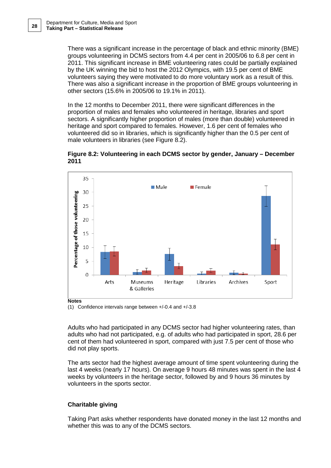There was a significant increase in the percentage of black and ethnic minority (BME) groups volunteering in DCMS sectors from 4.4 per cent in 2005/06 to 6.8 per cent in 2011. This significant increase in BME volunteering rates could be partially explained by the UK winning the bid to host the 2012 Olympics, with 19.5 per cent of BME volunteers saying they were motivated to do more voluntary work as a result of this. There was also a significant increase in the proportion of BME groups volunteering in other sectors (15.6% in 2005/06 to 19.1% in 2011).

In the 12 months to December 2011, there were significant differences in the proportion of males and females who volunteered in heritage, libraries and sport sectors. A significantly higher proportion of males (more than double) volunteered in heritage and sport compared to females. However, 1.6 per cent of females who volunteered did so in libraries, which is significantly higher than the 0.5 per cent of male volunteers in libraries (see Figure 8.2).





(1) Confidence intervals range between +/-0.4 and +/-3.8

Adults who had participated in any DCMS sector had higher volunteering rates, than adults who had not participated, e.g. of adults who had participated in sport, 28.6 per cent of them had volunteered in sport, compared with just 7.5 per cent of those who did not play sports.

The arts sector had the highest average amount of time spent volunteering during the last 4 weeks (nearly 17 hours). On average 9 hours 48 minutes was spent in the last 4 weeks by volunteers in the heritage sector, followed by and 9 hours 36 minutes by volunteers in the sports sector.

### **Charitable giving**

Taking Part asks whether respondents have donated money in the last 12 months and whether this was to any of the DCMS sectors.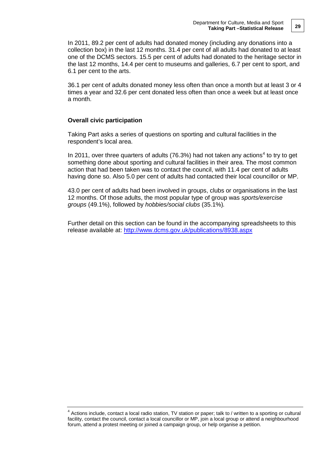In 2011, 89.2 per cent of adults had donated money (including any donations into a collection box) in the last 12 months. 31.4 per cent of all adults had donated to at least one of the DCMS sectors. 15.5 per cent of adults had donated to the heritage sector in the last 12 months, 14.4 per cent to museums and galleries, 6.7 per cent to sport, and 6.1 per cent to the arts.

36.1 per cent of adults donated money less often than once a month but at least 3 or 4 times a year and 32.6 per cent donated less often than once a week but at least once a month.

#### **Overall civic participation**

Taking Part asks a series of questions on sporting and cultural facilities in the respondent's local area.

In 2011, over three quarters of adults (76.3%) had not taken any actions<sup>[4](#page-28-0)</sup> to try to get something done about sporting and cultural facilities in their area. The most common action that had been taken was to contact the council, with 11.4 per cent of adults having done so. Also 5.0 per cent of adults had contacted their local councillor or MP.

43.0 per cent of adults had been involved in groups, clubs or organisations in the last 12 months. Of those adults, the most popular type of group was *sports/exercise groups* (49.1%), followed by *hobbies/social clubs* (35.1%)*.*

<span id="page-28-0"></span><sup>&</sup>lt;sup>4</sup> Actions include, contact a local radio station, TV station or paper; talk to / written to a sporting or cultural facility, contact the council, contact a local councillor or MP, join a local group or attend a neighbourhood forum, attend a protest meeting or joined a campaign group, or help organise a petition.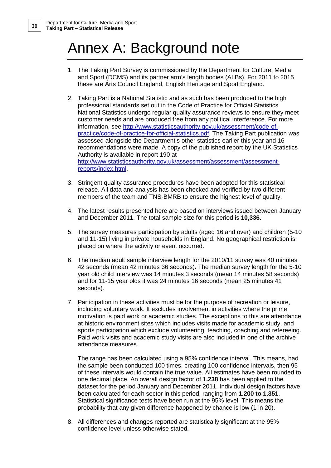# Annex A: Background note

- 1. The Taking Part Survey is commissioned by the Department for Culture, Media and Sport (DCMS) and its partner arm's length bodies (ALBs). For 2011 to 2015 these are Arts Council England, English Heritage and Sport England.
- 2. Taking Part is a National Statistic and as such has been produced to the high professional standards set out in the Code of Practice for Official Statistics. National Statistics undergo regular quality assurance reviews to ensure they meet customer needs and are produced free from any political interference. For more information, see [http://www.statisticsauthority.gov.uk/assessment/code-of](http://www.statisticsauthority.gov.uk/assessment/code-of-practice/code-of-practice-for-official-statistics.pdf)[practice/code-of-practice-for-official-statistics.pdf.](http://www.statisticsauthority.gov.uk/assessment/code-of-practice/code-of-practice-for-official-statistics.pdf) The Taking Part publication was assessed alongside the Department's other statistics earlier this year and 16 recommendations were made. A copy of the published report by the UK Statistics Authority is available in report 190 at [http://www.statisticsauthority.gov.uk/assessment/assessment/assessment](http://www.statisticsauthority.gov.uk/assessment/assessment/assessment-reports/index.html)[reports/index.html.](http://www.statisticsauthority.gov.uk/assessment/assessment/assessment-reports/index.html)
- 3. Stringent quality assurance procedures have been adopted for this statistical release. All data and analysis has been checked and verified by two different members of the team and TNS-BMRB to ensure the highest level of quality.
- 4. The latest results presented here are based on interviews issued between January and December 2011. The total sample size for this period is **10,336**.
- 5. The survey measures participation by adults (aged 16 and over) and children (5-10 and 11-15) living in private households in England. No geographical restriction is placed on where the activity or event occurred.
- 6. The median adult sample interview length for the 2010/11 survey was 40 minutes 42 seconds (mean 42 minutes 36 seconds). The median survey length for the 5-10 year old child interview was 14 minutes 3 seconds (mean 14 minutes 58 seconds) and for 11-15 year olds it was 24 minutes 16 seconds (mean 25 minutes 41 seconds).
- 7. Participation in these activities must be for the purpose of recreation or leisure, including voluntary work. It excludes involvement in activities where the prime motivation is paid work or academic studies. The exceptions to this are attendance at historic environment sites which includes visits made for academic study, and sports participation which exclude volunteering, teaching, coaching and refereeing. Paid work visits and academic study visits are also included in one of the archive attendance measures.

The range has been calculated using a 95% confidence interval. This means, had the sample been conducted 100 times, creating 100 confidence intervals, then 95 of these intervals would contain the true value. All estimates have been rounded to one decimal place. An overall design factor of **1.238** has been applied to the dataset for the period January and December 2011. Individual design factors have been calculated for each sector in this period, ranging from **1.200 to 1.351**. Statistical significance tests have been run at the 95% level. This means the probability that any given difference happened by chance is low (1 in 20).

8. All differences and changes reported are statistically significant at the 95% confidence level unless otherwise stated.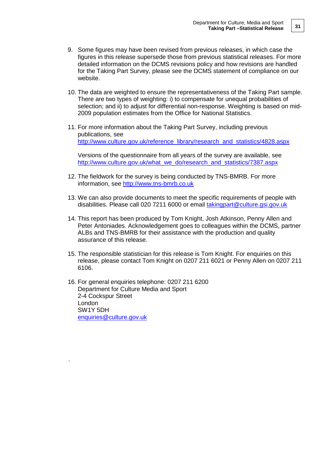- 9. Some figures may have been revised from previous releases, in which case the figures in this release supersede those from previous statistical releases. For more detailed information on the DCMS revisions policy and how revisions are handled for the Taking Part Survey, please see the DCMS statement of compliance on our website.
- 10. The data are weighted to ensure the representativeness of the Taking Part sample. There are two types of weighting: i) to compensate for unequal probabilities of selection; and ii) to adjust for differential non-response. Weighting is based on mid-2009 population estimates from the Office for National Statistics.
- 11. For more information about the Taking Part Survey, including previous publications, see [http://www.culture.gov.uk/reference\\_library/research\\_and\\_statistics/4828.aspx](http://www.culture.gov.uk/reference_library/research_and_statistics/4828.aspx)

Versions of the questionnaire from all years of the survey are available, see [http://www.culture.gov.uk/what\\_we\\_do/research\\_and\\_statistics/7387.aspx](http://www.culture.gov.uk/what_we_do/research_and_statistics/7387.aspx)

- 12. The fieldwork for the survey is being conducted by TNS-BMRB. For more information, see [http://www.tns-bmrb.co.uk](http://www.tns-bmrb.co.uk/)
- 13. We can also provide documents to meet the specific requirements of people with disabilities. Please call 020 7211 6000 or email [takingpart@culture.gsi.gov.uk](mailto:takingpart@culture.gsi.gov.uk)
- 14. This report has been produced by Tom Knight, Josh Atkinson, Penny Allen and Peter Antoniades. Acknowledgement goes to colleagues within the DCMS, partner ALBs and TNS-BMRB for their assistance with the production and quality assurance of this release.
- 15. The responsible statistician for this release is Tom Knight. For enquiries on this release, please contact Tom Knight on 0207 211 6021 or Penny Allen on 0207 211 6106.
- 16. For general enquiries telephone: 0207 211 6200 Department for Culture Media and Sport 2-4 Cockspur Street London SW1Y 5DH [enquiries@culture.gov.uk](mailto:enquiries@culture.gov.uk)

.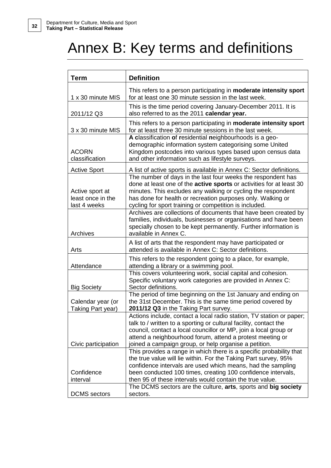# Annex B: Key terms and definitions

| Term                                                 | <b>Definition</b>                                                                                                                                                                                                                                                                                                                   |
|------------------------------------------------------|-------------------------------------------------------------------------------------------------------------------------------------------------------------------------------------------------------------------------------------------------------------------------------------------------------------------------------------|
| 1 x 30 minute MIS                                    | This refers to a person participating in moderate intensity sport<br>for at least one 30 minute session in the last week.                                                                                                                                                                                                           |
| 2011/12 Q3                                           | This is the time period covering January-December 2011. It is<br>also referred to as the 2011 calendar year.                                                                                                                                                                                                                        |
| 3 x 30 minute MIS                                    | This refers to a person participating in moderate intensity sport<br>for at least three 30 minute sessions in the last week.                                                                                                                                                                                                        |
| <b>ACORN</b><br>classification                       | A classification of residential neighbourhoods is a geo-<br>demographic information system categorising some United<br>Kingdom postcodes into various types based upon census data<br>and other information such as lifestyle surveys.                                                                                              |
| <b>Active Sport</b>                                  | A list of active sports is available in Annex C: Sector definitions.                                                                                                                                                                                                                                                                |
| Active sport at<br>least once in the<br>last 4 weeks | The number of days in the last four weeks the respondent has<br>done at least one of the active sports or activities for at least 30<br>minutes. This excludes any walking or cycling the respondent<br>has done for health or recreation purposes only. Walking or<br>cycling for sport training or competition is included.       |
| Archives                                             | Archives are collections of documents that have been created by<br>families, individuals, businesses or organisations and have been<br>specially chosen to be kept permanently. Further information is<br>available in Annex C.                                                                                                     |
| Arts                                                 | A list of arts that the respondent may have participated or<br>attended is available in Annex C: Sector definitions.                                                                                                                                                                                                                |
| Attendance                                           | This refers to the respondent going to a place, for example,<br>attending a library or a swimming pool.                                                                                                                                                                                                                             |
| <b>Big Society</b>                                   | This covers volunteering work, social capital and cohesion.<br>Specific voluntary work categories are provided in Annex C:<br>Sector definitions.                                                                                                                                                                                   |
| Calendar year (or<br>Taking Part year)               | The period of time beginning on the 1st January and ending on<br>the 31st December. This is the same time period covered by<br>2011/12 Q3 in the Taking Part survey.                                                                                                                                                                |
| Civic participation                                  | Actions include, contact a local radio station, TV station or paper;<br>talk to / written to a sporting or cultural facility, contact the<br>council, contact a local councillor or MP, join a local group or<br>attend a neighbourhood forum, attend a protest meeting or<br>joined a campaign group, or help organise a petition. |
| Confidence<br>interval                               | This provides a range in which there is a specific probability that<br>the true value will lie within. For the Taking Part survey, 95%<br>confidence intervals are used which means, had the sampling<br>been conducted 100 times, creating 100 confidence intervals,<br>then 95 of these intervals would contain the true value.   |
| <b>DCMS</b> sectors                                  | The DCMS sectors are the culture, arts, sports and big society<br>sectors.                                                                                                                                                                                                                                                          |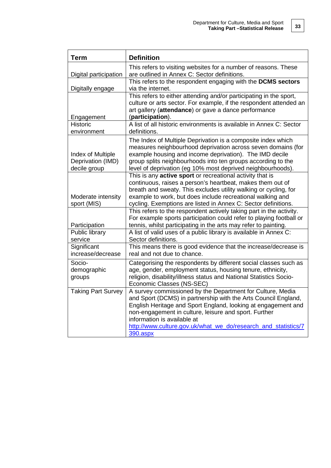| <b>Term</b>                                            | <b>Definition</b>                                                                                                                                                                                                                                                                                                                                                   |
|--------------------------------------------------------|---------------------------------------------------------------------------------------------------------------------------------------------------------------------------------------------------------------------------------------------------------------------------------------------------------------------------------------------------------------------|
|                                                        | This refers to visiting websites for a number of reasons. These                                                                                                                                                                                                                                                                                                     |
| Digital participation                                  | are outlined in Annex C: Sector definitions.                                                                                                                                                                                                                                                                                                                        |
| Digitally engage                                       | This refers to the respondent engaging with the DCMS sectors<br>via the internet.                                                                                                                                                                                                                                                                                   |
|                                                        | This refers to either attending and/or participating in the sport,                                                                                                                                                                                                                                                                                                  |
|                                                        | culture or arts sector. For example, if the respondent attended an                                                                                                                                                                                                                                                                                                  |
|                                                        | art gallery (attendance) or gave a dance performance                                                                                                                                                                                                                                                                                                                |
| Engagement                                             | (participation).                                                                                                                                                                                                                                                                                                                                                    |
| <b>Historic</b>                                        | A list of all historic environments is available in Annex C: Sector                                                                                                                                                                                                                                                                                                 |
| environment                                            | definitions.                                                                                                                                                                                                                                                                                                                                                        |
| Index of Multiple<br>Deprivation (IMD)<br>decile group | The Index of Multiple Deprivation is a composite index which<br>measures neighbourhood deprivation across seven domains (for<br>example housing and income deprivation). The IMD decile<br>group splits neighbourhoods into ten groups according to the<br>level of deprivation (eg 10% most deprived neighbourhoods).                                              |
|                                                        | This is any active sport or recreational activity that is                                                                                                                                                                                                                                                                                                           |
| Moderate intensity<br>sport (MIS)                      | continuous, raises a person's heartbeat, makes them out of<br>breath and sweaty. This excludes utility walking or cycling, for<br>example to work, but does include recreational walking and<br>cycling. Exemptions are listed in Annex C: Sector definitions.                                                                                                      |
| Participation                                          | This refers to the respondent actively taking part in the activity.<br>For example sports participation could refer to playing football or<br>tennis, whilst participating in the arts may refer to painting.                                                                                                                                                       |
| Public library<br>service                              | A list of valid uses of a public library is available in Annex C:<br>Sector definitions.                                                                                                                                                                                                                                                                            |
| Significant<br>increase/decrease                       | This means there is good evidence that the increase/decrease is<br>real and not due to chance.                                                                                                                                                                                                                                                                      |
| Socio-<br>demographic<br>groups                        | Categorising the respondents by different social classes such as<br>age, gender, employment status, housing tenure, ethnicity,<br>religion, disability/illness status and National Statistics Socio-<br>Economic Classes (NS-SEC)                                                                                                                                   |
| <b>Taking Part Survey</b>                              | A survey commissioned by the Department for Culture, Media<br>and Sport (DCMS) in partnership with the Arts Council England,<br>English Heritage and Sport England, looking at engagement and<br>non-engagement in culture, leisure and sport. Further<br>information is available at<br>http://www.culture.gov.uk/what we do/research and statistics/7<br>390.aspx |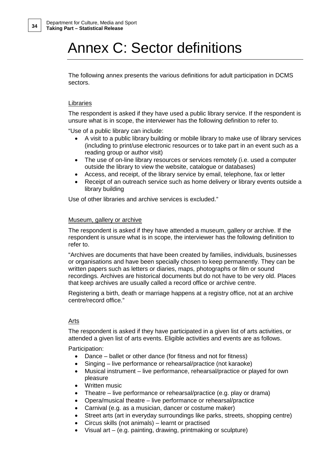# Annex C: Sector definitions

The following annex presents the various definitions for adult participation in DCMS sectors.

### Libraries

The respondent is asked if they have used a public library service. If the respondent is unsure what is in scope, the interviewer has the following definition to refer to.

"Use of a public library can include:

- A visit to a public library building or mobile library to make use of library services (including to print/use electronic resources or to take part in an event such as a reading group or author visit)
- The use of on-line library resources or services remotely (i.e. used a computer outside the library to view the website, catalogue or databases)
- Access, and receipt, of the library service by email, telephone, fax or letter
- Receipt of an outreach service such as home delivery or library events outside a library building

Use of other libraries and archive services is excluded."

#### Museum, gallery or archive

The respondent is asked if they have attended a museum, gallery or archive. If the respondent is unsure what is in scope, the interviewer has the following definition to refer to.

"Archives are documents that have been created by families, individuals, businesses or organisations and have been specially chosen to keep permanently. They can be written papers such as letters or diaries, maps, photographs or film or sound recordings. Archives are historical documents but do not have to be very old. Places that keep archives are usually called a record office or archive centre.

Registering a birth, death or marriage happens at a registry office, not at an archive centre/record office."

### Arts

The respondent is asked if they have participated in a given list of arts activities, or attended a given list of arts events. Eligible activities and events are as follows.

Participation:

- Dance ballet or other dance (for fitness and not for fitness)
- Singing live performance or rehearsal/practice (not karaoke)
- Musical instrument live performance, rehearsal/practice or played for own pleasure
- Written music
- Theatre live performance or rehearsal/practice (e.g. play or drama)
- Opera/musical theatre live performance or rehearsal/practice
- Carnival (e.g. as a musician, dancer or costume maker)
- Street arts (art in everyday surroundings like parks, streets, shopping centre)
- Circus skills (not animals) learnt or practised
- Visual art (e.g. painting, drawing, printmaking or sculpture)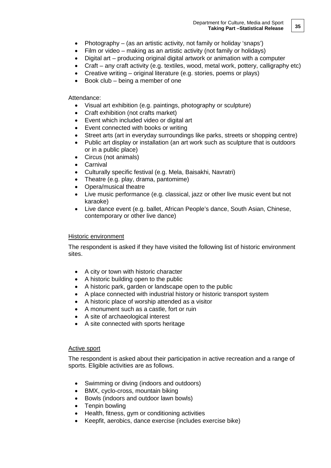- Photography (as an artistic activity, not family or holiday 'snaps')
- Film or video making as an artistic activity (not family or holidays)
- Digital art producing original digital artwork or animation with a computer
- Craft any craft activity (e.g. textiles, wood, metal work, pottery, calligraphy etc)
- Creative writing original literature (e.g. stories, poems or plays)
- Book club being a member of one

#### Attendance:

- Visual art exhibition (e.g. paintings, photography or sculpture)
- Craft exhibition (not crafts market)
- Event which included video or digital art
- Event connected with books or writing
- Street arts (art in everyday surroundings like parks, streets or shopping centre)
- Public art display or installation (an art work such as sculpture that is outdoors or in a public place)
- Circus (not animals)
- Carnival
- Culturally specific festival (e.g. Mela, Baisakhi, Navratri)
- Theatre (e.g. play, drama, pantomime)
- Opera/musical theatre
- Live music performance (e.g. classical, jazz or other live music event but not karaoke)
- Live dance event (e.g. ballet, African People's dance, South Asian, Chinese, contemporary or other live dance)

#### Historic environment

The respondent is asked if they have visited the following list of historic environment sites.

- A city or town with historic character
- A historic building open to the public
- A historic park, garden or landscape open to the public
- A place connected with industrial history or historic transport system
- A historic place of worship attended as a visitor
- A monument such as a castle, fort or ruin
- A site of archaeological interest
- A site connected with sports heritage

#### Active sport

The respondent is asked about their participation in active recreation and a range of sports. Eligible activities are as follows.

- Swimming or diving (indoors and outdoors)
- BMX, cyclo-cross, mountain biking
- Bowls (indoors and outdoor lawn bowls)
- Tenpin bowling
- Health, fitness, gym or conditioning activities
- Keepfit, aerobics, dance exercise (includes exercise bike)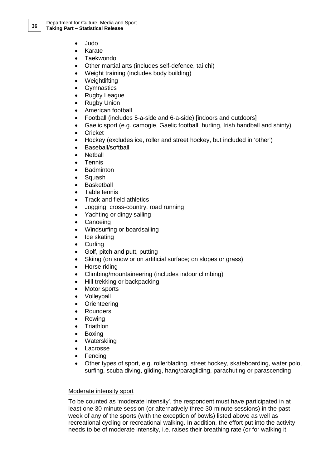- Judo
- Karate
- Taekwondo
- Other martial arts (includes self-defence, tai chi)
- Weight training (includes body building)
- Weightlifting
- Gymnastics
- Rugby League
- Rugby Union
- American football
- Football (includes 5-a-side and 6-a-side) [indoors and outdoors]
- Gaelic sport (e.g. camogie, Gaelic football, hurling, Irish handball and shinty)
- Cricket
- Hockey (excludes ice, roller and street hockey, but included in 'other')
- Baseball/softball
- Netball
- Tennis
- Badminton
- Squash
- Basketball
- Table tennis
- Track and field athletics
- Jogging, cross-country, road running
- Yachting or dingy sailing
- Canoeing
- Windsurfing or boardsailing
- Ice skating
- Curling
- Golf, pitch and putt, putting
- Skiing (on snow or on artificial surface; on slopes or grass)
- Horse riding
- Climbing/mountaineering (includes indoor climbing)
- Hill trekking or backpacking
- Motor sports
- Volleyball
- Orienteering
- Rounders
- Rowing
- Triathlon
- Boxing
- Waterskiing
- Lacrosse
- Fencing
- Other types of sport, e.g. rollerblading, street hockey, skateboarding, water polo, surfing, scuba diving, gliding, hang/paragliding, parachuting or parascending

#### Moderate intensity sport

To be counted as 'moderate intensity', the respondent must have participated in at least one 30-minute session (or alternatively three 30-minute sessions) in the past week of any of the sports (with the exception of bowls) listed above as well as recreational cycling or recreational walking. In addition, the effort put into the activity needs to be of moderate intensity, i.e. raises their breathing rate (or for walking it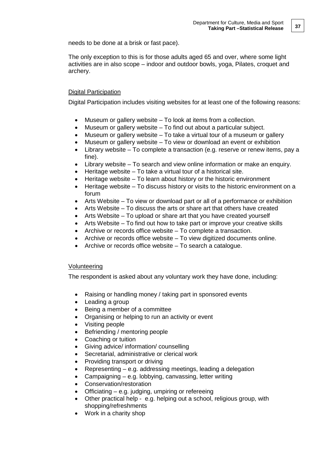needs to be done at a brisk or fast pace).

The only exception to this is for those adults aged 65 and over, where some light activities are in also scope – indoor and outdoor bowls, yoga, Pilates, croquet and archery.

### Digital Participation

Digital Participation includes visiting websites for at least one of the following reasons:

- Museum or gallery website To look at items from a collection.
- Museum or gallery website To find out about a particular subject.
- Museum or gallery website To take a virtual tour of a museum or gallery
- Museum or gallery website To view or download an event or exhibition
- Library website To complete a transaction (e.g. reserve or renew items, pay a fine).
- Library website To search and view online information or make an enquiry.
- Heritage website To take a virtual tour of a historical site.
- Heritage website To learn about history or the historic environment
- Heritage website To discuss history or visits to the historic environment on a forum
- Arts Website To view or download part or all of a performance or exhibition
- Arts Website To discuss the arts or share art that others have created
- Arts Website To upload or share art that you have created yourself
- Arts Website To find out how to take part or improve your creative skills
- Archive or records office website To complete a transaction.
- Archive or records office website To view digitized documents online.
- Archive or records office website To search a catalogue.

### Volunteering

The respondent is asked about any voluntary work they have done, including:

- Raising or handling money / taking part in sponsored events
- Leading a group
- Being a member of a committee
- Organising or helping to run an activity or event
- Visiting people
- Befriending / mentoring people
- Coaching or tuition
- Giving advice/ information/ counselling
- Secretarial, administrative or clerical work
- Providing transport or driving
- Representing e.g. addressing meetings, leading a delegation
- Campaigning e.g. lobbying, canvassing, letter writing
- Conservation/restoration
- Officiating  $-$  e.g. judging, umpiring or refereeing
- Other practical help e.g. helping out a school, religious group, with shopping/refreshments
- Work in a charity shop